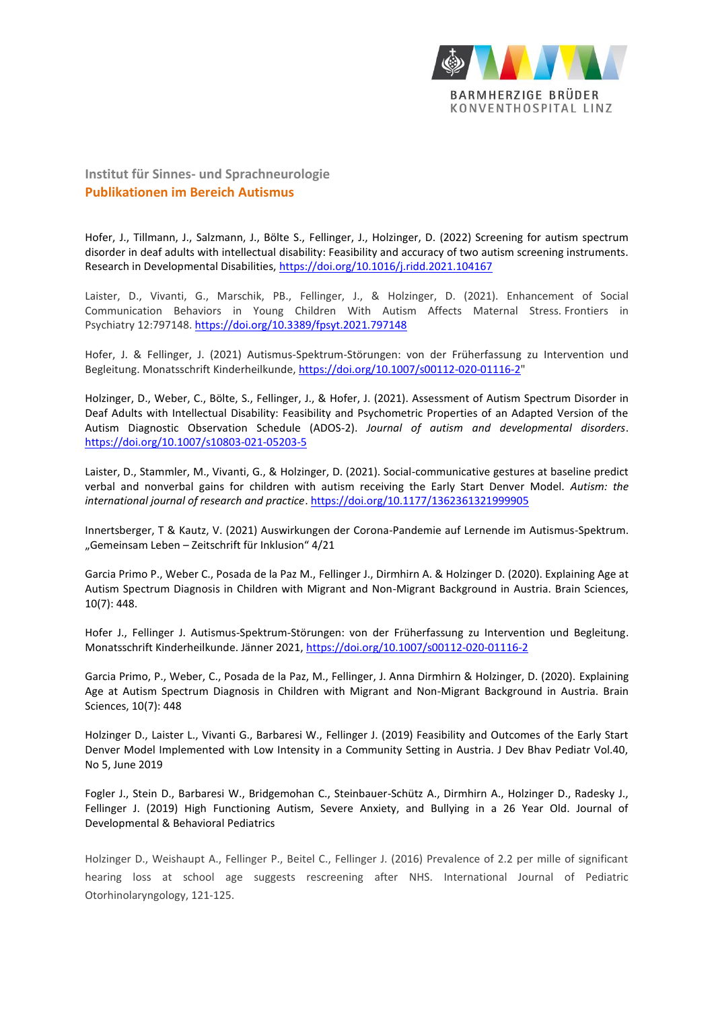

**Institut für Sinnes- und Sprachneurologie Publikationen im Bereich Autismus**

Hofer, J., Tillmann, J., Salzmann, J., Bölte S., Fellinger, J., Holzinger, D. (2022) Screening for autism spectrum disorder in deaf adults with intellectual disability: Feasibility and accuracy of two autism screening instruments. Research in Developmental Disabilities,<https://doi.org/10.1016/j.ridd.2021.104167>

Laister, D., Vivanti, G., Marschik, PB., Fellinger, J., & Holzinger, D. (2021). Enhancement of Social Communication Behaviors in Young Children With Autism Affects Maternal Stress. Frontiers in Psychiatry 12:797148[. https://doi.org/10.3389/fpsyt.2021.797148](https://doi.org/10.3389/fpsyt.2021.797148)

Hofer, J. & Fellinger, J. (2021) Autismus-Spektrum-Störungen: von der Früherfassung zu Intervention und Begleitung. Monatsschrift Kinderheilkunde, [https://doi.org/10.1007/s00112-020-01116-2"](https://doi.org/10.1007/s00112-020-01116-2)

Holzinger, D., Weber, C., Bölte, S., Fellinger, J., & Hofer, J. (2021). Assessment of Autism Spectrum Disorder in Deaf Adults with Intellectual Disability: Feasibility and Psychometric Properties of an Adapted Version of the Autism Diagnostic Observation Schedule (ADOS-2). *Journal of autism and developmental disorders*. <https://doi.org/10.1007/s10803-021-05203-5>

Laister, D., Stammler, M., Vivanti, G., & Holzinger, D. (2021). Social-communicative gestures at baseline predict verbal and nonverbal gains for children with autism receiving the Early Start Denver Model. *Autism: the international journal of research and practice*.<https://doi.org/10.1177/1362361321999905>

Innertsberger, T & Kautz, V. (2021) Auswirkungen der Corona-Pandemie auf Lernende im Autismus-Spektrum. "Gemeinsam Leben - Zeitschrift für Inklusion" 4/21

Garcia Primo P., Weber C., Posada de la Paz M., Fellinger J., Dirmhirn A. & Holzinger D. (2020). Explaining Age at Autism Spectrum Diagnosis in Children with Migrant and Non-Migrant Background in Austria. Brain Sciences, 10(7): 448.

Hofer J., Fellinger J. Autismus-Spektrum-Störungen: von der Früherfassung zu Intervention und Begleitung. Monatsschrift Kinderheilkunde. Jänner 2021[, https://doi.org/10.1007/s00112-020-01116-2](https://doi.org/10.1007/s00112-020-01116-2)

Garcia Primo, P., Weber, C., Posada de la Paz, M., Fellinger, J. Anna Dirmhirn & Holzinger, D. (2020). Explaining Age at Autism Spectrum Diagnosis in Children with Migrant and Non-Migrant Background in Austria. Brain Sciences, 10(7): 448

Holzinger D., Laister L., Vivanti G., Barbaresi W., Fellinger J. (2019) Feasibility and Outcomes of the Early Start Denver Model Implemented with Low Intensity in a Community Setting in Austria. J Dev Bhav Pediatr Vol.40, No 5, June 2019

Fogler J., Stein D., Barbaresi W., Bridgemohan C., Steinbauer-Schütz A., Dirmhirn A., Holzinger D., Radesky J., Fellinger J. (2019) High Functioning Autism, Severe Anxiety, and Bullying in a 26 Year Old. Journal of Developmental & Behavioral Pediatrics

Holzinger D., Weishaupt A., Fellinger P., Beitel C., Fellinger J. (2016) Prevalence of 2.2 per mille of significant hearing loss at school age suggests rescreening after NHS. International Journal of Pediatric Otorhinolaryngology, 121-125.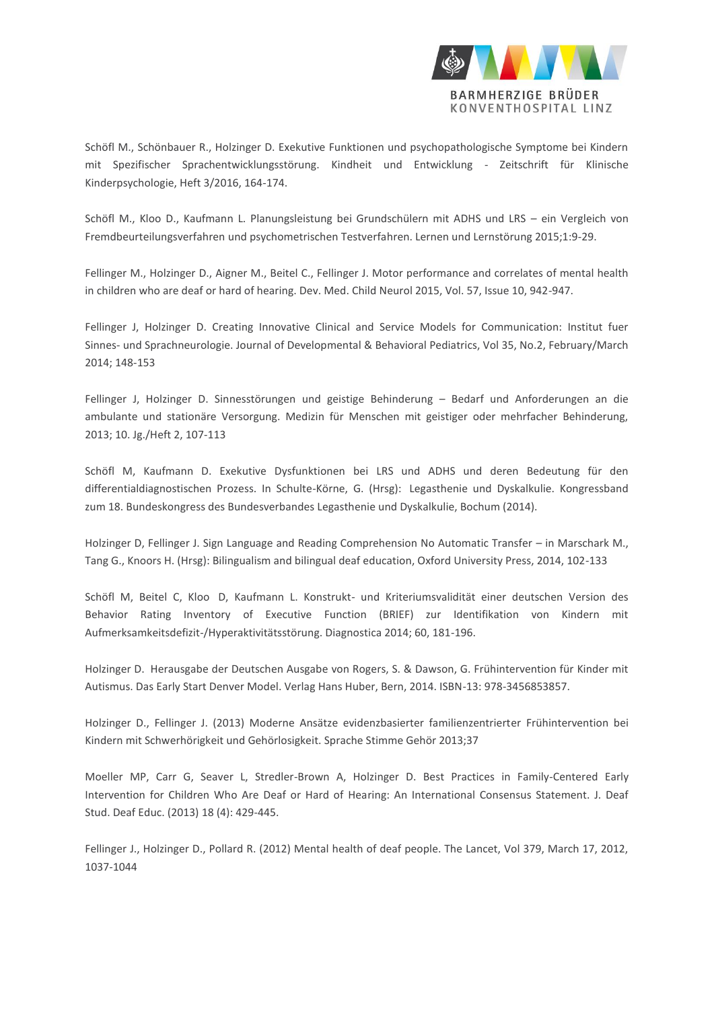

Schöfl M., Schönbauer R., Holzinger D. Exekutive Funktionen und psychopathologische Symptome bei Kindern mit Spezifischer Sprachentwicklungsstörung. Kindheit und Entwicklung - Zeitschrift für Klinische Kinderpsychologie, Heft 3/2016, 164-174.

Schöfl M., Kloo D., Kaufmann L. Planungsleistung bei Grundschülern mit ADHS und LRS – ein Vergleich von Fremdbeurteilungsverfahren und psychometrischen Testverfahren. Lernen und Lernstörung 2015;1:9-29.

Fellinger M., Holzinger D., Aigner M., Beitel C., Fellinger J. Motor performance and correlates of mental health in children who are deaf or hard of hearing. Dev. Med. Child Neurol 2015, Vol. 57, Issue 10, 942-947.

Fellinger J, Holzinger D. Creating Innovative Clinical and Service Models for Communication: Institut fuer Sinnes- und Sprachneurologie. Journal of Developmental & Behavioral Pediatrics, Vol 35, No.2, February/March 2014; 148-153

Fellinger J, Holzinger D. Sinnesstörungen und geistige Behinderung – Bedarf und Anforderungen an die ambulante und stationäre Versorgung. Medizin für Menschen mit geistiger oder mehrfacher Behinderung, 2013; 10. Jg./Heft 2, 107-113

Schöfl M, Kaufmann D. Exekutive Dysfunktionen bei LRS und ADHS und deren Bedeutung für den differentialdiagnostischen Prozess. In Schulte-Körne, G. (Hrsg): Legasthenie und Dyskalkulie. Kongressband zum 18. Bundeskongress des Bundesverbandes Legasthenie und Dyskalkulie, Bochum (2014).

Holzinger D, Fellinger J. Sign Language and Reading Comprehension No Automatic Transfer – in Marschark M., Tang G., Knoors H. (Hrsg): Bilingualism and bilingual deaf education, Oxford University Press, 2014, 102-133

Schöfl M, Beitel C, Kloo D, Kaufmann L. Konstrukt- und Kriteriumsvalidität einer deutschen Version des Behavior Rating Inventory of Executive Function (BRIEF) zur Identifikation von Kindern mit Aufmerksamkeitsdefizit-/Hyperaktivitätsstörung. Diagnostica 2014; 60, 181-196.

Holzinger D. Herausgabe der Deutschen Ausgabe von Rogers, S. & Dawson, G. Frühintervention für Kinder mit Autismus. Das Early Start Denver Model. Verlag Hans Huber, Bern, 2014. ISBN-13: 978-3456853857.

Holzinger D., Fellinger J. (2013) Moderne Ansätze evidenzbasierter familienzentrierter Frühintervention bei Kindern mit Schwerhörigkeit und Gehörlosigkeit. Sprache Stimme Gehör 2013;37

Moeller MP, Carr G, Seaver L, Stredler-Brown A, Holzinger D. Best Practices in Family-Centered Early Intervention for Children Who Are Deaf or Hard of Hearing: An International Consensus Statement. J. Deaf Stud. Deaf Educ. (2013) 18 (4): 429-445.

Fellinger J., Holzinger D., Pollard R. (2012) Mental health of deaf people. The Lancet, Vol 379, March 17, 2012, 1037-1044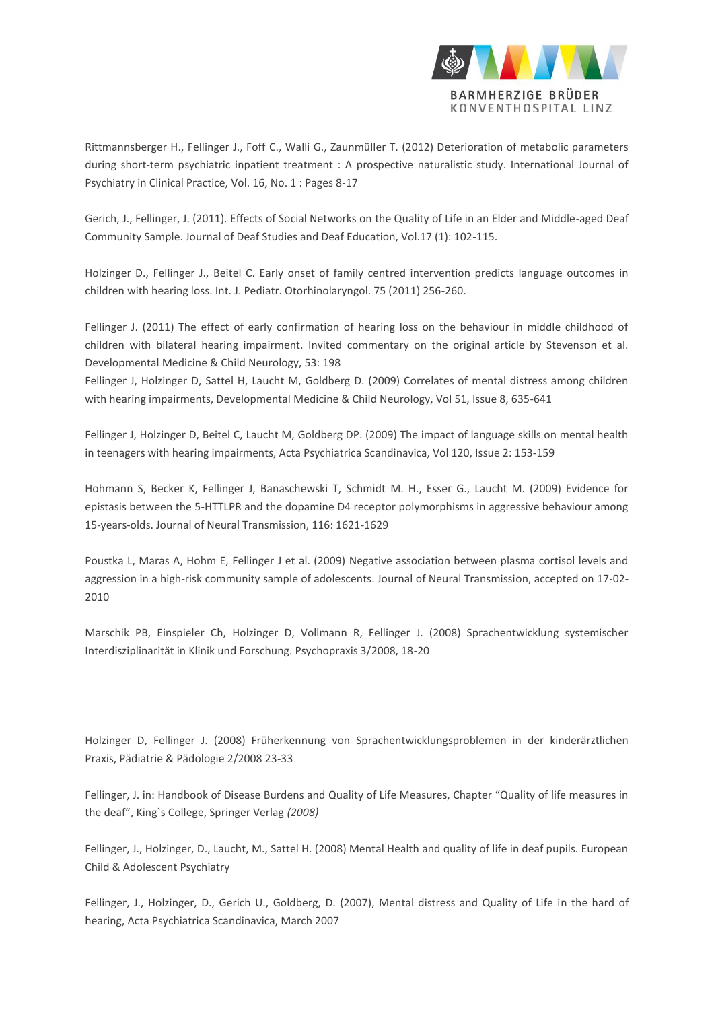

Rittmannsberger H., Fellinger J., Foff C., Walli G., Zaunmüller T. (2012) Deterioration of metabolic parameters during short-term psychiatric inpatient treatment : A prospective naturalistic study. International Journal of Psychiatry in Clinical Practice, Vol. 16, No. 1 : Pages 8-17

Gerich, J., Fellinger, J. (2011). Effects of Social Networks on the Quality of Life in an Elder and Middle-aged Deaf Community Sample. Journal of Deaf Studies and Deaf Education, Vol.17 (1): 102-115.

Holzinger D., Fellinger J., Beitel C. Early onset of family centred intervention predicts language outcomes in children with hearing loss. Int. J. Pediatr. Otorhinolaryngol. 75 (2011) 256-260.

Fellinger J. (2011) The effect of early confirmation of hearing loss on the behaviour in middle childhood of children with bilateral hearing impairment. Invited commentary on the original article by Stevenson et al. Developmental Medicine & Child Neurology, 53: 198

Fellinger J, Holzinger D, Sattel H, Laucht M, Goldberg D. (2009) Correlates of mental distress among children with hearing impairments, Developmental Medicine & Child Neurology, Vol 51, Issue 8, 635-641

Fellinger J, Holzinger D, Beitel C, Laucht M, Goldberg DP. (2009) The impact of language skills on mental health in teenagers with hearing impairments, Acta Psychiatrica Scandinavica, Vol 120, Issue 2: 153-159

Hohmann S, Becker K, Fellinger J, Banaschewski T, Schmidt M. H., Esser G., Laucht M. (2009) Evidence for epistasis between the 5-HTTLPR and the dopamine D4 receptor polymorphisms in aggressive behaviour among 15-years-olds. Journal of Neural Transmission, 116: 1621-1629

Poustka L, Maras A, Hohm E, Fellinger J et al. (2009) Negative association between plasma cortisol levels and aggression in a high-risk community sample of adolescents. Journal of Neural Transmission, accepted on 17-02- 2010

Marschik PB, Einspieler Ch, Holzinger D, Vollmann R, Fellinger J. (2008) Sprachentwicklung systemischer Interdisziplinarität in Klinik und Forschung. Psychopraxis 3/2008, 18-20

Holzinger D, Fellinger J. (2008) Früherkennung von Sprachentwicklungsproblemen in der kinderärztlichen Praxis, Pädiatrie & Pädologie 2/2008 23-33

Fellinger, J. in: Handbook of Disease Burdens and Quality of Life Measures, Chapter "Quality of life measures in the deaf", King`s College, Springer Verlag *(2008)*

Fellinger, J., Holzinger, D., Laucht, M., Sattel H. (2008) Mental Health and quality of life in deaf pupils. European Child & Adolescent Psychiatry

Fellinger, J., Holzinger, D., Gerich U., Goldberg, D. (2007), Mental distress and Quality of Life in the hard of hearing, Acta Psychiatrica Scandinavica, March 2007